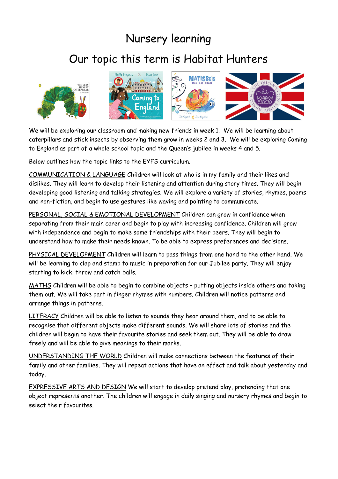## Nursery learning

## Our topic this term is Habitat Hunters





We will be exploring our classroom and making new friends in week 1. We will be learning about caterpillars and stick insects by observing them grow in weeks 2 and 3. We will be exploring Coming to England as part of a whole school topic and the Queen's jubilee in weeks 4 and 5.

Below outlines how the topic links to the EYFS curriculum.

COMMUNICATION & LANGUAGE Children will look at who is in my family and their likes and dislikes. They will learn to develop their listening and attention during story times. They will begin developing good listening and talking strategies. We will explore a variety of stories, rhymes, poems and non-fiction, and begin to use gestures like waving and pointing to communicate.

PERSONAL, SOCIAL & EMOTIONAL DEVELOPMENT Children can grow in confidence when separating from their main carer and begin to play with increasing confidence. Children will grow with independence and begin to make some friendships with their peers. They will begin to understand how to make their needs known. To be able to express preferences and decisions.

PHYSICAL DEVELOPMENT Children will learn to pass things from one hand to the other hand. We will be learning to clap and stamp to music in preparation for our Jubilee party. They will enjoy starting to kick, throw and catch balls.

MATHS Children will be able to begin to combine objects – putting objects inside others and taking them out. We will take part in finger rhymes with numbers. Children will notice patterns and arrange things in patterns.

LITERACY Children will be able to listen to sounds they hear around them, and to be able to recognise that different objects make different sounds. We will share lots of stories and the children will begin to have their favourite stories and seek them out. They will be able to draw freely and will be able to give meanings to their marks.

UNDERSTANDING THE WORLD Children will make connections between the features of their family and other families. They will repeat actions that have an effect and talk about yesterday and today.

EXPRESSIVE ARTS AND DESIGN We will start to develop pretend play, pretending that one object represents another. The children will engage in daily singing and nursery rhymes and begin to select their favourites.